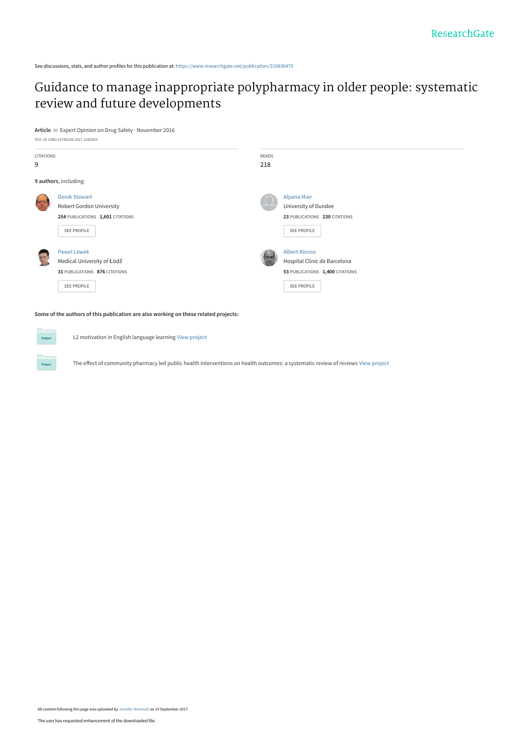See discussions, stats, and author profiles for this publication at: [https://www.researchgate.net/publication/310836470](https://www.researchgate.net/publication/310836470_Guidance_to_manage_inappropriate_polypharmacy_in_older_people_systematic_review_and_future_developments?enrichId=rgreq-84224ec771c548fe112cc19ac5b5e8ee-XXX&enrichSource=Y292ZXJQYWdlOzMxMDgzNjQ3MDtBUzo1NDAxNjI0Njg5MTMxNThAMTUwNTc5NjE3Njg0Mg%3D%3D&el=1_x_2&_esc=publicationCoverPdf)

# [Guidance to manage inappropriate polypharmacy in older people: systematic](https://www.researchgate.net/publication/310836470_Guidance_to_manage_inappropriate_polypharmacy_in_older_people_systematic_review_and_future_developments?enrichId=rgreq-84224ec771c548fe112cc19ac5b5e8ee-XXX&enrichSource=Y292ZXJQYWdlOzMxMDgzNjQ3MDtBUzo1NDAxNjI0Njg5MTMxNThAMTUwNTc5NjE3Njg0Mg%3D%3D&el=1_x_3&_esc=publicationCoverPdf) review and future developments

**Article** in Expert Opinion on Drug Safety · November 2016





**Some of the authors of this publication are also working on these related projects:**

L2 motivation in English language learning [View project](https://www.researchgate.net/project/L2-motivation-in-English-language-learning?enrichId=rgreq-84224ec771c548fe112cc19ac5b5e8ee-XXX&enrichSource=Y292ZXJQYWdlOzMxMDgzNjQ3MDtBUzo1NDAxNjI0Njg5MTMxNThAMTUwNTc5NjE3Njg0Mg%3D%3D&el=1_x_9&_esc=publicationCoverPdf)

The effect of community pharmacy led public health interventions on health outcomes: a systematic review of reviews [View project](https://www.researchgate.net/project/The-effect-of-community-pharmacy-led-public-health-interventions-on-health-outcomes-a-systematic-review-of-reviews?enrichId=rgreq-84224ec771c548fe112cc19ac5b5e8ee-XXX&enrichSource=Y292ZXJQYWdlOzMxMDgzNjQ3MDtBUzo1NDAxNjI0Njg5MTMxNThAMTUwNTc5NjE3Njg0Mg%3D%3D&el=1_x_9&_esc=publicationCoverPdf)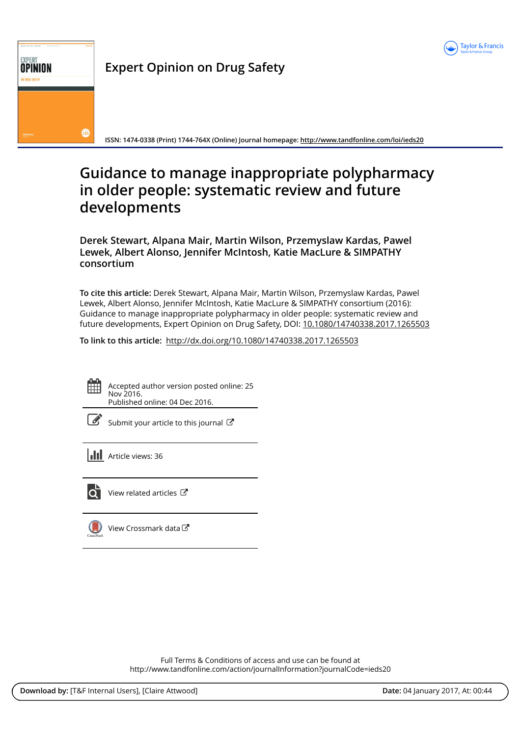

# **OPINION** Expert Opinion on Drug Safety  $\sqrt{262}$

ISSN: 1474-0338 (Print) 1744-764X (Online) Journal homepage: http://www.tandfonline.com/loi/ieds20

# Guidance to manage inappropriate polypharmacy in older people: systematic review and future developments

Derek Stewart, Alpana Mair, Martin Wilson, Przemyslaw Kardas, Pawel Lewek, Albert Alonso, Jennifer McIntosh, Katie MacLure & SIMPATHY consortium

To cite this article: Derek Stewart, Alpana Mair, Martin Wilson, Przemyslaw Kardas, Pawel Lewek, Albert Alonso, Jennifer McIntosh, Katie MacLure & SIMPATHY consortium (2016): Guidance to manage inappropriate polypharmacy in older people: systematic review and future developments, Expert Opinion on Drug Safety, DOI: 10.1080/14740338.2017.1265503

To link to this article: http://dx.doi.org/10.1080/14740338.2017.1265503

Accepted author version posted online: 25 Nov 2016. Published online: 04 Dec 2016.

| I<br>۰. |
|---------|
|         |

Submit your article to this journal  $\mathbb{Z}$ 

**Article views: 36** 



View related articles C

View Crossmark data $\mathbb{C}$ 

Full Terms & Conditions of access and use can be found at http://www.tandfonline.com/action/journalInformation?journalCode=ieds20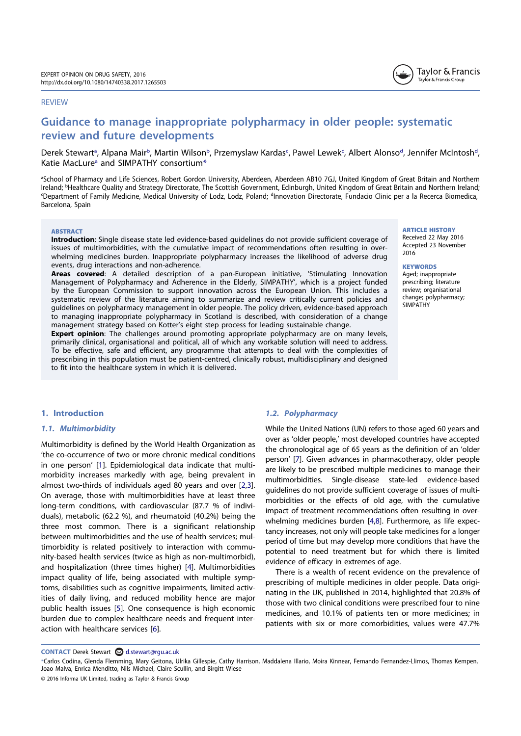#### REVIEW

# Guidance to manage inappropriate polypharmacy in older people: systematic review and future developments

Derek Stewart<sup>a</sup>, Alpana Mair<sup>b</sup>, Martin Wilson<sup>b</sup>, Przemyslaw Kardas<sup>c</sup>, Pawel Lewek<sup>c</sup>, Albert Alonso<sup>d</sup>, Jennifer McIntosh<sup>d</sup>, Katie MacLure<sup>a</sup> and SIMPATHY consortium<sup>\*</sup>

aSchool of Pharmacy and Life Sciences, Robert Gordon University, Aberdeen, Aberdeen AB10 7GJ, United Kingdom of Great Britain and Northern Ireland; <sup>b</sup>Healthcare Quality and Strategy Directorate, The Scottish Government, Edinburgh, United Kingdom of Great Britain and Northern Ireland <sup>c</sup>Department of Family Medicine, Medical University of Lodz, Lodz, Poland; <sup>d</sup>Innovation Directorate, Fundacio Clinic per a la Recerca Biomedica, Barcelona, Spain

#### **ABSTRACT**

Introduction: Single disease state led evidence-based guidelines do not provide sufficient coverage of issues of multimorbidities, with the cumulative impact of recommendations often resulting in overwhelming medicines burden. Inappropriate polypharmacy increases the likelihood of adverse drug events, drug interactions and non-adherence.

Areas covered: A detailed description of a pan-European initiative, 'Stimulating Innovation Management of Polypharmacy and Adherence in the Elderly, SIMPATHY', which is a project funded by the European Commission to support innovation across the European Union. This includes a systematic review of the literature aiming to summarize and review critically current policies and guidelines on polypharmacy management in older people. The policy driven, evidence-based approach to managing inappropriate polypharmacy in Scotland is described, with consideration of a change management strategy based on Kotter's eight step process for leading sustainable change.

**Expert opinion**: The challenges around promoting appropriate polypharmacy are on many levels, primarily clinical, organisational and political, all of which any workable solution will need to address. To be effective, safe and efficient, any programme that attempts to deal with the complexities of prescribing in this population must be patient-centred, clinically robust, multidisciplinary and designed to fit into the healthcare system in which it is delivered.

## 1. Introduction

# 1.1. Multimorbidity

Multimorbidity is defined by the World Health Organization as 'the co-occurrence of two or more chronic medical conditions in one person' [1]. Epidemiological data indicate that multimorbidity increases markedly with age, being prevalent in almost two-thirds of individuals aged 80 years and over [2,3]. On average, those with multimorbidities have at least three long-term conditions, with cardiovascular (87.7 % of individuals), metabolic (62.2 %), and rheumatoid (40.2%) being the three most common. There is a significant relationship between multimorbidities and the use of health services; multimorbidity is related positively to interaction with community-based health services (twice as high as non-multimorbid), and hospitalization (three times higher) [4]. Multimorbidities impact quality of life, being associated with multiple symptoms, disabilities such as cognitive impairments, limited activities of daily living, and reduced mobility hence are major public health issues [5]. One consequence is high economic burden due to complex healthcare needs and frequent interaction with healthcare services [6].

#### 1.2. Polypharmacy

While the United Nations (UN) refers to those aged 60 years and over as 'older people,' most developed countries have accepted the chronological age of 65 years as the definition of an 'older person' [7]. Given advances in pharmacotherapy, older people are likely to be prescribed multiple medicines to manage their multimorbidities. Single-disease state-led evidence-based guidelines do not provide sufficient coverage of issues of multimorbidities or the effects of old age, with the cumulative impact of treatment recommendations often resulting in overwhelming medicines burden [4,8]. Furthermore, as life expectancy increases, not only will people take medicines for a longer period of time but may develop more conditions that have the potential to need treatment but for which there is limited evidence of efficacy in extremes of age.

There is a wealth of recent evidence on the prevalence of prescribing of multiple medicines in older people. Data originating in the UK, published in 2014, highlighted that 20.8% of those with two clinical conditions were prescribed four to nine medicines, and 10.1% of patients ten or more medicines; in patients with six or more comorbidities, values were 47.7%

CONTACT Derek Stewart a d.stewart@rgu.ac.uk

© 2016 Informa UK Limited, trading as Taylor & Francis Group

ARTICLE HISTORY Received 22 May 2016 Accepted 23 November 2016

**KEYWORDS** Aged; inappropriate

prescribing; literature review; organisational change; polypharmacy; **SIMPATHY** 



<sup>\*</sup>Carlos Codina, Glenda Flemming, Mary Geitona, Ulrika Gillespie, Cathy Harrison, Maddalena Illario, Moira Kinnear, Fernando Fernandez-Llimos, Thomas Kempen, Joao Malva, Enrica Menditto, Nils Michael, Claire Scullin, and Birgitt Wiese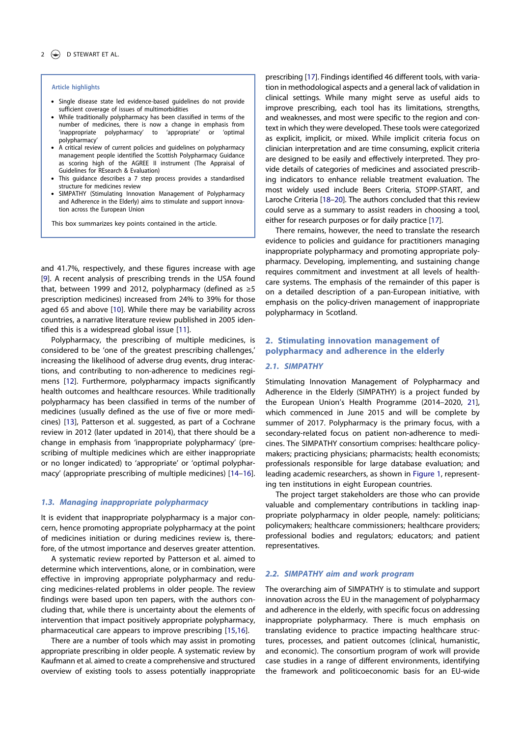#### Article highlights

- Single disease state led evidence-based guidelines do not provide sufficient coverage of issues of multimorbidities
- While traditionally polypharmacy has been classified in terms of the number of medicines, there is now a change in emphasis from 'inappropriate polypharmacy' to 'appropriate' or 'optimal polypharmacy'
- A critical review of current policies and quidelines on polypharmacy management people identified the Scottish Polypharmacy Guidance as scoring high of the AGREE II instrument (The Appraisal of Guidelines for REsearch & Evaluation)
- This guidance describes a 7 step process provides a standardised structure for medicines review
- SIMPATHY (Stimulating Innovation Management of Polypharmacy and Adherence in the Elderly) aims to stimulate and support innovation across the European Union

This box summarizes key points contained in the article.

and 41.7%, respectively, and these figures increase with age [9]. A recent analysis of prescribing trends in the USA found that, between 1999 and 2012, polypharmacy (defined as  $\geq 5$ prescription medicines) increased from 24% to 39% for those aged 65 and above [10]. While there may be variability across countries, a narrative literature review published in 2005 identified this is a widespread global issue [11].

Polypharmacy, the prescribing of multiple medicines, is considered to be 'one of the greatest prescribing challenges,' increasing the likelihood of adverse drug events, drug interactions, and contributing to non-adherence to medicines regimens [12]. Furthermore, polypharmacy impacts significantly health outcomes and healthcare resources. While traditionally polypharmacy has been classified in terms of the number of medicines (usually defined as the use of five or more medicines) [13], Patterson et al. suggested, as part of a Cochrane review in 2012 (later updated in 2014), that there should be a change in emphasis from 'inappropriate polypharmacy' (prescribing of multiple medicines which are either inappropriate or no longer indicated) to 'appropriate' or 'optimal polypharmacy' (appropriate prescribing of multiple medicines) [14–16].

#### 1.3. Managing inappropriate polypharmacy

It is evident that inappropriate polypharmacy is a major concern, hence promoting appropriate polypharmacy at the point of medicines initiation or during medicines review is, therefore, of the utmost importance and deserves greater attention.

A systematic review reported by Patterson et al. aimed to determine which interventions, alone, or in combination, were effective in improving appropriate polypharmacy and reducing medicines-related problems in older people. The review findings were based upon ten papers, with the authors concluding that, while there is uncertainty about the elements of intervention that impact positively appropriate polypharmacy, pharmaceutical care appears to improve prescribing [15,16].

There are a number of tools which may assist in promoting appropriate prescribing in older people. A systematic review by Kaufmann et al. aimed to create a comprehensive and structured overview of existing tools to assess potentially inappropriate

prescribing [17]. Findings identified 46 different tools, with variation in methodological aspects and a general lack of validation in clinical settings. While many might serve as useful aids to improve prescribing, each tool has its limitations, strengths, and weaknesses, and most were specific to the region and context in which they were developed. These tools were categorized as explicit, implicit, or mixed. While implicit criteria focus on clinician interpretation and are time consuming, explicit criteria are designed to be easily and effectively interpreted. They provide details of categories of medicines and associated prescribing indicators to enhance reliable treatment evaluation. The most widely used include Beers Criteria, STOPP-START, and Laroche Criteria [18–20]. The authors concluded that this review could serve as a summary to assist readers in choosing a tool, either for research purposes or for daily practice [17].

There remains, however, the need to translate the research evidence to policies and guidance for practitioners managing inappropriate polypharmacy and promoting appropriate polypharmacy. Developing, implementing, and sustaining change requires commitment and investment at all levels of healthcare systems. The emphasis of the remainder of this paper is on a detailed description of a pan-European initiative, with emphasis on the policy-driven management of inappropriate polypharmacy in Scotland.

# 2. Stimulating innovation management of polypharmacy and adherence in the elderly

# 2.1. SIMPATHY

Stimulating Innovation Management of Polypharmacy and Adherence in the Elderly (SIMPATHY) is a project funded by the European Union's Health Programme (2014–2020, 21], which commenced in June 2015 and will be complete by summer of 2017. Polypharmacy is the primary focus, with a secondary-related focus on patient non-adherence to medicines. The SIMPATHY consortium comprises: healthcare policymakers; practicing physicians; pharmacists; health economists; professionals responsible for large database evaluation; and leading academic researchers, as shown in Figure 1, representing ten institutions in eight European countries.

The project target stakeholders are those who can provide valuable and complementary contributions in tackling inappropriate polypharmacy in older people, namely: politicians; policymakers; healthcare commissioners; healthcare providers; professional bodies and regulators; educators; and patient representatives.

# 2.2. SIMPATHY aim and work program

The overarching aim of SIMPATHY is to stimulate and support innovation across the EU in the management of polypharmacy and adherence in the elderly, with specific focus on addressing inappropriate polypharmacy. There is much emphasis on translating evidence to practice impacting healthcare structures, processes, and patient outcomes (clinical, humanistic, and economic). The consortium program of work will provide case studies in a range of different environments, identifying the framework and politicoeconomic basis for an EU-wide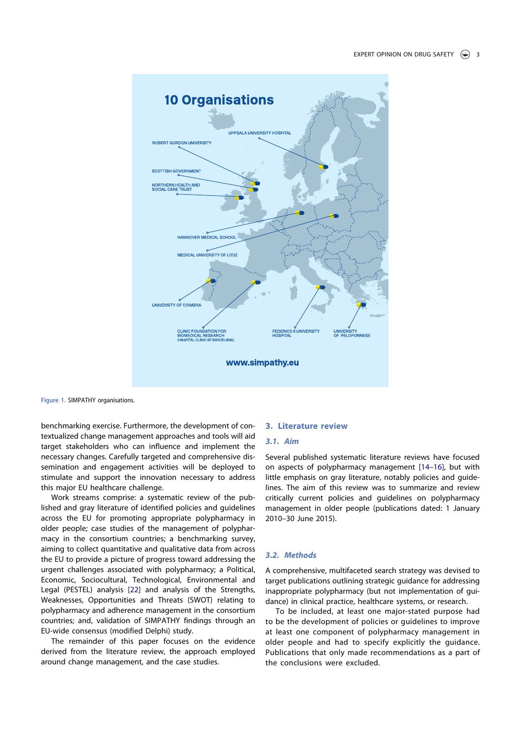

Figure 1. SIMPATHY organisations.

benchmarking exercise. Furthermore, the development of contextualized change management approaches and tools will aid target stakeholders who can influence and implement the necessary changes. Carefully targeted and comprehensive dissemination and engagement activities will be deployed to stimulate and support the innovation necessary to address this major EU healthcare challenge.

Work streams comprise: a systematic review of the published and gray literature of identified policies and guidelines across the EU for promoting appropriate polypharmacy in older people; case studies of the management of polypharmacy in the consortium countries; a benchmarking survey, aiming to collect quantitative and qualitative data from across the EU to provide a picture of progress toward addressing the urgent challenges associated with polypharmacy; a Political, Economic, Sociocultural, Technological, Environmental and Legal (PESTEL) analysis [22] and analysis of the Strengths, Weaknesses, Opportunities and Threats (SWOT) relating to polypharmacy and adherence management in the consortium countries; and, validation of SIMPATHY findings through an EU-wide consensus (modified Delphi) study.

The remainder of this paper focuses on the evidence derived from the literature review, the approach employed around change management, and the case studies.

# 3. Literature review

#### 3.1. Aim

Several published systematic literature reviews have focused on aspects of polypharmacy management [14–16], but with little emphasis on gray literature, notably policies and guidelines. The aim of this review was to summarize and review critically current policies and guidelines on polypharmacy management in older people (publications dated: 1 January 2010–30 June 2015).

#### 3.2. Methods

A comprehensive, multifaceted search strategy was devised to target publications outlining strategic guidance for addressing inappropriate polypharmacy (but not implementation of guidance) in clinical practice, healthcare systems, or research.

To be included, at least one major-stated purpose had to be the development of policies or guidelines to improve at least one component of polypharmacy management in older people and had to specify explicitly the guidance. Publications that only made recommendations as a part of the conclusions were excluded.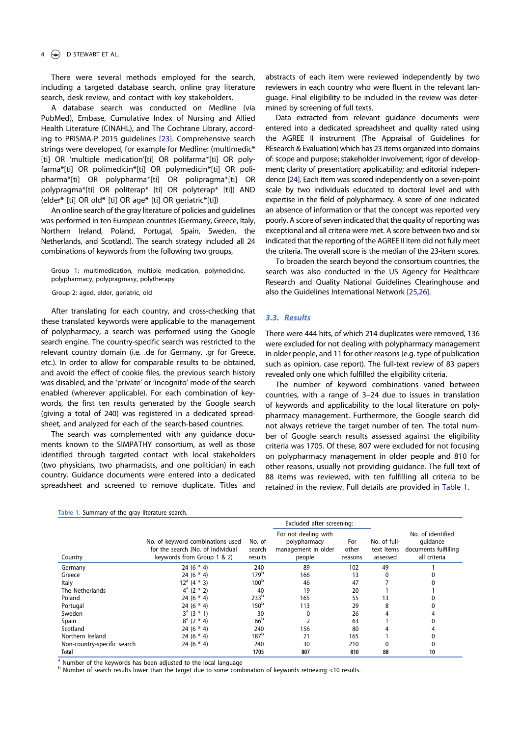# D STEWART ET AL.

There were several methods employed for the search, including a targeted database search, online gray literature search, desk review, and contact with key stakeholders.

A database search was conducted on Medline (via PubMed), Embase, Cumulative Index of Nursing and Allied Health Literature (CINAHL), and The Cochrane Library, according to PRISMA-P 2015 guidelines [23]. Comprehensive search strings were developed, for example for Medline: (multimedic\* [ti] OR 'multiple medication'[ti] OR polifarma\*[ti] OR polyfarma\*[ti] OR polimedicin\*[ti] OR polymedicin\*[ti] OR polipharma\*[ti] OR polypharma\*[ti] OR polipragma\*[ti] OR polypragma\*[ti] OR politerap\* [ti] OR polyterap\* [ti]) AND (elder\* [ti] OR old\* [ti] OR age\* [ti] OR geriatric\*[ti])

An online search of the gray literature of policies and guidelines was performed in ten European countries (Germany, Greece, Italy, Northern Ireland, Poland, Portugal, Spain, Sweden, the Netherlands, and Scotland). The search strategy included all 24 combinations of keywords from the following two groups,

Group 1: multimedication, multiple medication, polymedicine, polypharmacy, polypragmasy, polytherapy

Group 2: aged, elder, geriatric, old

After translating for each country, and cross-checking that these translated keywords were applicable to the management of polypharmacy, a search was performed using the Google search engine. The country-specific search was restricted to the relevant country domain (i.e. .de for Germany, .gr for Greece, etc.). In order to allow for comparable results to be obtained, and avoid the effect of cookie files, the previous search history was disabled, and the 'private' or 'incognito' mode of the search enabled (wherever applicable). For each combination of keywords, the first ten results generated by the Google search (giving a total of 240) was registered in a dedicated spreadsheet, and analyzed for each of the search-based countries.

The search was complemented with any guidance documents known to the SIMPATHY consortium, as well as those identified through targeted contact with local stakeholders (two physicians, two pharmacists, and one politician) in each country. Guidance documents were entered into a dedicated spreadsheet and screened to remove duplicate. Titles and

Table 1. Summary of the gray literature search.

abstracts of each item were reviewed independently by two reviewers in each country who were fluent in the relevant language. Final eligibility to be included in the review was determined by screening of full texts.

Data extracted from relevant guidance documents were entered into a dedicated spreadsheet and quality rated using the AGREE II instrument (The Appraisal of Guidelines for REsearch & Evaluation) which has 23 items organized into domains of: scope and purpose; stakeholder involvement; rigor of development; clarity of presentation; applicability; and editorial independence [24]. Each item was scored independently on a seven-point scale by two individuals educated to doctoral level and with expertise in the field of polypharmacy. A score of one indicated an absence of information or that the concept was reported very poorly. A score of seven indicated that the quality of reporting was exceptional and all criteria were met. A score between two and six indicated that the reporting of the AGREE II item did not fully meet the criteria. The overall score is the median of the 23-item scores.

To broaden the search beyond the consortium countries, the search was also conducted in the US Agency for Healthcare Research and Quality National Guidelines Clearinghouse and also the Guidelines International Network [25,26].

## 3.3. Results

There were 444 hits, of which 214 duplicates were removed, 136 were excluded for not dealing with polypharmacy management in older people, and 11 for other reasons (e.g. type of publication such as opinion, case report). The full-text review of 83 papers revealed only one which fulfilled the eligibility criteria.

The number of keyword combinations varied between countries, with a range of 3–24 due to issues in translation of keywords and applicability to the local literature on polypharmacy management. Furthermore, the Google search did not always retrieve the target number of ten. The total number of Google search results assessed against the eligibility criteria was 1705. Of these, 807 were excluded for not focusing on polypharmacy management in older people and 810 for other reasons, usually not providing guidance. The full text of 88 items was reviewed, with ten fulfilling all criteria to be retained in the review. Full details are provided in Table 1.

|                             | Excluded after screening:                                                                           |                             |                                                                       |                         |                                        |                                                                       |
|-----------------------------|-----------------------------------------------------------------------------------------------------|-----------------------------|-----------------------------------------------------------------------|-------------------------|----------------------------------------|-----------------------------------------------------------------------|
| Country                     | No. of keyword combinations used<br>for the search (No. of individual<br>keywords from Group 1 & 2) | No. of<br>search<br>results | For not dealing with<br>polypharmacy<br>management in older<br>people | For<br>other<br>reasons | No. of full-<br>text items<br>assessed | No. of identified<br>quidance<br>documents fulfilling<br>all criteria |
| Germany                     | 24 $(6 * 4)$                                                                                        | 240                         | 89                                                                    | 102                     | 49                                     |                                                                       |
| Greece                      | 24 $(6 * 4)$                                                                                        | 179 <sup>b</sup>            | 166                                                                   | 13                      | $\mathbf{0}$                           |                                                                       |
| Italy                       | $12^a (4 * 3)$                                                                                      | 100 <sup>b</sup>            | 46                                                                    | 47                      |                                        |                                                                       |
| The Netherlands             | $4^a$ (2 $*$ 2)                                                                                     | 40                          | 19                                                                    | 20                      |                                        |                                                                       |
| Poland                      | 24 $(6 * 4)$                                                                                        | 233 <sup>b</sup>            | 165                                                                   | 55                      | 13                                     |                                                                       |
| Portugal                    | 24 $(6 * 4)$                                                                                        | 150 <sup>b</sup>            | 113                                                                   | 29                      | 8                                      |                                                                       |
| Sweden                      | $3^a$ (3 $*$ 1)                                                                                     | 30                          | 0                                                                     | 26                      |                                        |                                                                       |
| Spain                       | $8^a$ (2 $*$ 4)                                                                                     | 66 <sup>b</sup>             |                                                                       | 63                      |                                        |                                                                       |
| Scotland                    | 24 $(6 * 4)$                                                                                        | 240                         | 156                                                                   | 80                      |                                        |                                                                       |
| Northern Ireland            | 24 (6 $*$ 4)                                                                                        | 187 <sup>b</sup>            | 21                                                                    | 165                     |                                        |                                                                       |
| Non-country-specific search | 24 (6 $*$ 4)                                                                                        | 240                         | 30                                                                    | 210                     |                                        |                                                                       |
| Total                       |                                                                                                     | 1705                        | 807                                                                   | 810                     | 88                                     | 10                                                                    |

<sup>a</sup> Number of the keywords has been adjusted to the local language

 $<sup>b</sup>$  Number of search results lower than the target due to some combination of keywords retrieving <10 results.</sup>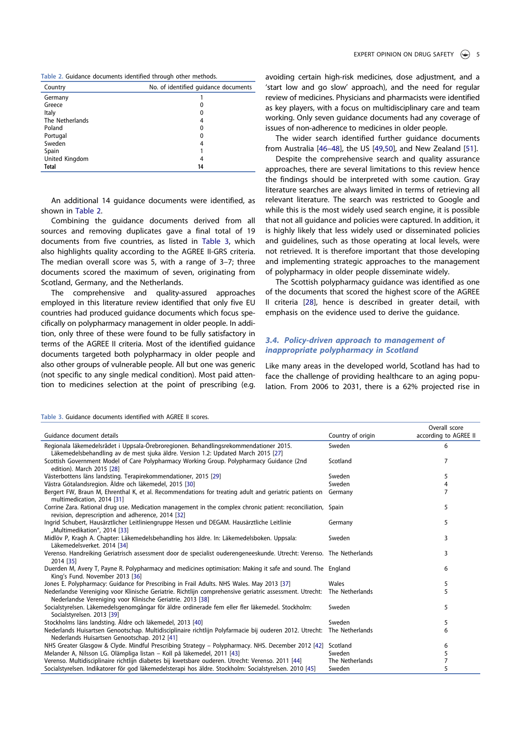|  |  |  | Table 2. Guidance documents identified through other methods. |  |  |  |  |  |
|--|--|--|---------------------------------------------------------------|--|--|--|--|--|
|--|--|--|---------------------------------------------------------------|--|--|--|--|--|

| Country         | No. of identified quidance documents |
|-----------------|--------------------------------------|
| Germany         |                                      |
| Greece          | 0                                    |
| Italy           | 0                                    |
| The Netherlands | 4                                    |
| Poland          | 0                                    |
| Portugal        | 0                                    |
| Sweden          | 4                                    |
| Spain           |                                      |
| United Kingdom  | 4                                    |
| <b>Total</b>    | 14                                   |

An additional 14 guidance documents were identified, as shown in Table 2.

Combining the guidance documents derived from all sources and removing duplicates gave a final total of 19 documents from five countries, as listed in Table 3, which also highlights quality according to the AGREE II-GRS criteria. The median overall score was 5, with a range of 3–7; three documents scored the maximum of seven, originating from Scotland, Germany, and the Netherlands.

The comprehensive and quality-assured approaches employed in this literature review identified that only five EU countries had produced guidance documents which focus specifically on polypharmacy management in older people. In addition, only three of these were found to be fully satisfactory in terms of the AGREE II criteria. Most of the identified guidance documents targeted both polypharmacy in older people and also other groups of vulnerable people. All but one was generic (not specific to any single medical condition). Most paid attention to medicines selection at the point of prescribing (e.g.

avoiding certain high-risk medicines, dose adjustment, and a 'start low and go slow' approach), and the need for regular review of medicines. Physicians and pharmacists were identified as key players, with a focus on multidisciplinary care and team working. Only seven guidance documents had any coverage of issues of non-adherence to medicines in older people.

The wider search identified further guidance documents from Australia [46–48], the US [49,50], and New Zealand [51].

Despite the comprehensive search and quality assurance approaches, there are several limitations to this review hence the findings should be interpreted with some caution. Gray literature searches are always limited in terms of retrieving all relevant literature. The search was restricted to Google and while this is the most widely used search engine, it is possible that not all guidance and policies were captured. In addition, it is highly likely that less widely used or disseminated policies and guidelines, such as those operating at local levels, were not retrieved. It is therefore important that those developing and implementing strategic approaches to the management of polypharmacy in older people disseminate widely.

The Scottish polypharmacy guidance was identified as one of the documents that scored the highest score of the AGREE II criteria [28], hence is described in greater detail, with emphasis on the evidence used to derive the guidance.

# 3.4. Policy-driven approach to management of inappropriate polypharmacy in Scotland

Like many areas in the developed world, Scotland has had to face the challenge of providing healthcare to an aging population. From 2006 to 2031, there is a 62% projected rise in

|                                                                                                                                                                            |                   | Overall score         |
|----------------------------------------------------------------------------------------------------------------------------------------------------------------------------|-------------------|-----------------------|
| Guidance document details                                                                                                                                                  | Country of origin | according to AGREE II |
| Regionala läkemedelsrådet i Uppsala-Örebroregionen. Behandlingsrekommendationer 2015.<br>Läkemedelsbehandling av de mest sjuka äldre. Version 1.2: Updated March 2015 [27] | Sweden            | 6                     |
| Scottish Government Model of Care Polypharmacy Working Group. Polypharmacy Guidance (2nd<br>edition). March 2015 [28]                                                      | Scotland          | 7                     |
| Västerbottens läns landsting. Terapirekommendationer, 2015 [29]                                                                                                            | Sweden            | 5                     |
| Västra Götalandsregion. Äldre och läkemedel, 2015 [30]                                                                                                                     | Sweden            | 4                     |
| Bergert FW, Braun M, Ehrenthal K, et al. Recommendations for treating adult and geriatric patients on<br>multimedication, 2014 [31]                                        | Germany           |                       |
| Corrine Zara. Rational drug use. Medication management in the complex chronic patient: reconciliation, Spain<br>revision, deprescription and adherence, 2014 [32]          |                   | 5                     |
| Ingrid Schubert, Hausärztlicher Leitliniengruppe Hessen und DEGAM. Hausärztliche Leitlinie<br>"Multimedikation", 2014 [33]                                                 | Germany           | 5                     |
| Midlöv P, Kragh A. Chapter: Läkemedelsbehandling hos äldre. In: Läkemedelsboken. Uppsala:<br>Läkemedelsverket. 2014 [34]                                                   | Sweden            | 3                     |
| Verenso. Handreiking Geriatrisch assessment door de specialist ouderengeneeskunde. Utrecht: Verenso. The Netherlands<br>2014 [35]                                          |                   | 3                     |
| Duerden M, Avery T, Payne R. Polypharmacy and medicines optimisation: Making it safe and sound. The England<br>King's Fund. November 2013 [36]                             |                   | 6                     |
| Jones E. Polypharmacy: Guidance for Prescribing in Frail Adults. NHS Wales. May 2013 [37]                                                                                  | Wales             | 5                     |
| Nederlandse Vereniging voor Klinische Geriatrie. Richtlijn comprehensive geriatric assessment. Utrecht:<br>Nederlandse Vereniging voor Klinische Geriatrie. 2013 [38]      | The Netherlands   | 5                     |
| Socialstyrelsen. Läkemedelsgenomgångar för äldre ordinerade fem eller fler läkemedel. Stockholm:<br>Socialstyrelsen. 2013 [39]                                             | Sweden            | 5                     |
| Stockholms läns landsting. Äldre och läkemedel, 2013 [40]                                                                                                                  | Sweden            | 5                     |
| Nederlands Huisartsen Genootschap. Multidisciplinaire richtlijn Polyfarmacie bij ouderen 2012. Utrecht:                                                                    | The Netherlands   | 6                     |
| Nederlands Huisartsen Genootschap. 2012 [41]                                                                                                                               |                   |                       |
| NHS Greater Glasgow & Clyde. Mindful Prescribing Strategy - Polypharmacy. NHS. December 2012 [42]                                                                          | Scotland          | 6                     |
| Melander A, Nilsson LG. Olämpliga listan – Koll på läkemedel, 2011 [43]                                                                                                    | Sweden            | 5                     |
| Verenso. Multidisciplinaire richtlijn diabetes bij kwetsbare ouderen. Utrecht: Verenso. 2011 [44]                                                                          | The Netherlands   | $\overline{7}$        |
| Socialstyrelsen. Indikatorer för god läkemedelsterapi hos äldre. Stockholm: Socialstyrelsen. 2010 [45]                                                                     | Sweden            | 5                     |

Table 3. Guidance documents identified with AGREE II scores.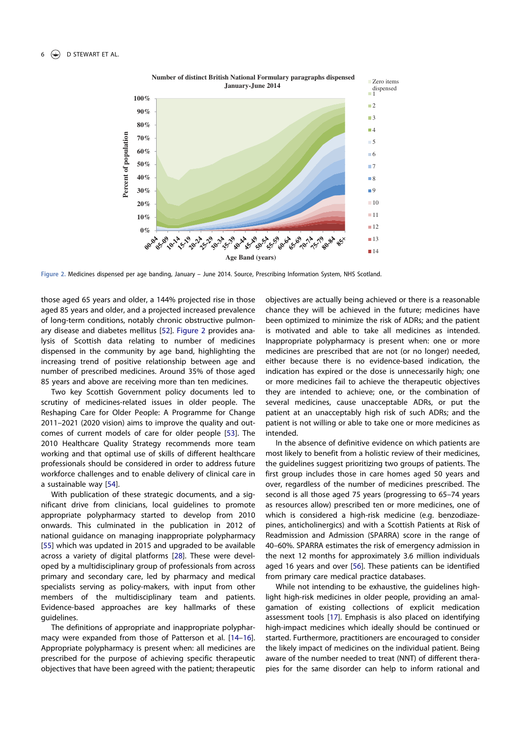

Figure 2. Medicines dispensed per age banding, January – June 2014. Source, Prescribing Information System, NHS Scotland.

those aged 65 years and older, a 144% projected rise in those aged 85 years and older, and a projected increased prevalence of long-term conditions, notably chronic obstructive pulmonary disease and diabetes mellitus [52]. Figure 2 provides analysis of Scottish data relating to number of medicines dispensed in the community by age band, highlighting the increasing trend of positive relationship between age and number of prescribed medicines. Around 35% of those aged 85 years and above are receiving more than ten medicines.

Two key Scottish Government policy documents led to scrutiny of medicines-related issues in older people. The Reshaping Care for Older People: A Programme for Change 2011–2021 (2020 vision) aims to improve the quality and outcomes of current models of care for older people [53]. The 2010 Healthcare Quality Strategy recommends more team working and that optimal use of skills of different healthcare professionals should be considered in order to address future workforce challenges and to enable delivery of clinical care in a sustainable way [54].

With publication of these strategic documents, and a significant drive from clinicians, local guidelines to promote appropriate polypharmacy started to develop from 2010 onwards. This culminated in the publication in 2012 of national guidance on managing inappropriate polypharmacy [55] which was updated in 2015 and upgraded to be available across a variety of digital platforms [28]. These were developed by a multidisciplinary group of professionals from across primary and secondary care, led by pharmacy and medical specialists serving as policy-makers, with input from other members of the multidisciplinary team and patients. Evidence-based approaches are key hallmarks of these guidelines.

The definitions of appropriate and inappropriate polypharmacy were expanded from those of Patterson et al. [14–16]. Appropriate polypharmacy is present when: all medicines are prescribed for the purpose of achieving specific therapeutic objectives that have been agreed with the patient; therapeutic

objectives are actually being achieved or there is a reasonable chance they will be achieved in the future; medicines have been optimized to minimize the risk of ADRs; and the patient is motivated and able to take all medicines as intended. Inappropriate polypharmacy is present when: one or more medicines are prescribed that are not (or no longer) needed, either because there is no evidence-based indication, the indication has expired or the dose is unnecessarily high; one or more medicines fail to achieve the therapeutic objectives they are intended to achieve; one, or the combination of several medicines, cause unacceptable ADRs, or put the patient at an unacceptably high risk of such ADRs; and the patient is not willing or able to take one or more medicines as intended.

In the absence of definitive evidence on which patients are most likely to benefit from a holistic review of their medicines, the guidelines suggest prioritizing two groups of patients. The first group includes those in care homes aged 50 years and over, regardless of the number of medicines prescribed. The second is all those aged 75 years (progressing to 65–74 years as resources allow) prescribed ten or more medicines, one of which is considered a high-risk medicine (e.g. benzodiazepines, anticholinergics) and with a Scottish Patients at Risk of Readmission and Admission (SPARRA) score in the range of 40–60%. SPARRA estimates the risk of emergency admission in the next 12 months for approximately 3.6 million individuals aged 16 years and over [56]. These patients can be identified from primary care medical practice databases.

While not intending to be exhaustive, the guidelines highlight high-risk medicines in older people, providing an amalgamation of existing collections of explicit medication assessment tools [17]. Emphasis is also placed on identifying high-impact medicines which ideally should be continued or started. Furthermore, practitioners are encouraged to consider the likely impact of medicines on the individual patient. Being aware of the number needed to treat (NNT) of different therapies for the same disorder can help to inform rational and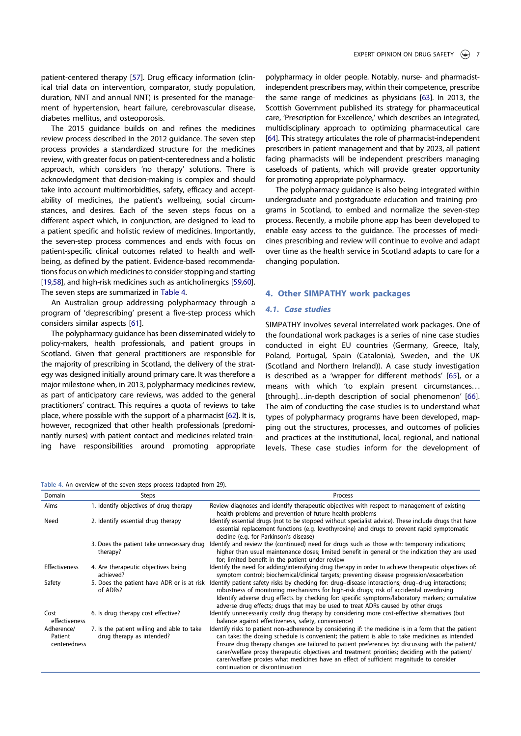patient-centered therapy [57]. Drug efficacy information (clinical trial data on intervention, comparator, study population, duration, NNT and annual NNT) is presented for the management of hypertension, heart failure, cerebrovascular disease, diabetes mellitus, and osteoporosis.

The 2015 guidance builds on and refines the medicines review process described in the 2012 guidance. The seven step process provides a standardized structure for the medicines review, with greater focus on patient-centeredness and a holistic approach, which considers 'no therapy' solutions. There is acknowledgment that decision-making is complex and should take into account multimorbidities, safety, efficacy and acceptability of medicines, the patient's wellbeing, social circumstances, and desires. Each of the seven steps focus on a different aspect which, in conjunction, are designed to lead to a patient specific and holistic review of medicines. Importantly, the seven-step process commences and ends with focus on patient-specific clinical outcomes related to health and wellbeing, as defined by the patient. Evidence-based recommendations focus on which medicines to consider stopping and starting [19,58], and high-risk medicines such as anticholinergics [59,60]. The seven steps are summarized in Table 4.

An Australian group addressing polypharmacy through a program of 'deprescribing' present a five-step process which considers similar aspects [61].

The polypharmacy guidance has been disseminated widely to policy-makers, health professionals, and patient groups in Scotland. Given that general practitioners are responsible for the majority of prescribing in Scotland, the delivery of the strategy was designed initially around primary care. It was therefore a major milestone when, in 2013, polypharmacy medicines review, as part of anticipatory care reviews, was added to the general practitioners' contract. This requires a quota of reviews to take place, where possible with the support of a pharmacist [62]. It is, however, recognized that other health professionals (predominantly nurses) with patient contact and medicines-related training have responsibilities around promoting appropriate

Table 4. An overview of the seven steps process (adapted from 29).

polypharmacy in older people. Notably, nurse- and pharmacistindependent prescribers may, within their competence, prescribe the same range of medicines as physicians [63]. In 2013, the Scottish Government published its strategy for pharmaceutical care, 'Prescription for Excellence,' which describes an integrated, multidisciplinary approach to optimizing pharmaceutical care [64]. This strategy articulates the role of pharmacist-independent prescribers in patient management and that by 2023, all patient facing pharmacists will be independent prescribers managing caseloads of patients, which will provide greater opportunity for promoting appropriate polypharmacy.

The polypharmacy guidance is also being integrated within undergraduate and postgraduate education and training programs in Scotland, to embed and normalize the seven-step process. Recently, a mobile phone app has been developed to enable easy access to the guidance. The processes of medicines prescribing and review will continue to evolve and adapt over time as the health service in Scotland adapts to care for a changing population.

### 4. Other SIMPATHY work packages

# 4.1. Case studies

SIMPATHY involves several interrelated work packages. One of the foundational work packages is a series of nine case studies conducted in eight EU countries (Germany, Greece, Italy, Poland, Portugal, Spain (Catalonia), Sweden, and the UK (Scotland and Northern Ireland)). A case study investigation is described as a 'wrapper for different methods' [65], or a means with which 'to explain present circumstances. . . [through]...in-depth description of social phenomenon' [66]. The aim of conducting the case studies is to understand what types of polypharmacy programs have been developed, mapping out the structures, processes, and outcomes of policies and practices at the institutional, local, regional, and national levels. These case studies inform for the development of

| Domain                                | Steps                                                                   | Process                                                                                                                                                                                                                                                                                                                                                                                                                                                                                                                                      |
|---------------------------------------|-------------------------------------------------------------------------|----------------------------------------------------------------------------------------------------------------------------------------------------------------------------------------------------------------------------------------------------------------------------------------------------------------------------------------------------------------------------------------------------------------------------------------------------------------------------------------------------------------------------------------------|
| Aims                                  | 1. Identify objectives of drug therapy                                  | Review diagnoses and identify therapeutic objectives with respect to management of existing<br>health problems and prevention of future health problems                                                                                                                                                                                                                                                                                                                                                                                      |
| Need                                  | 2. Identify essential drug therapy                                      | Identify essential drugs (not to be stopped without specialist advice). These include drugs that have<br>essential replacement functions (e.g. levothyroxine) and drugs to prevent rapid symptomatic<br>decline (e.g. for Parkinson's disease)                                                                                                                                                                                                                                                                                               |
|                                       | 3. Does the patient take unnecessary drug<br>therapy?                   | Identify and review the (continued) need for drugs such as those with: temporary indications;<br>higher than usual maintenance doses; limited benefit in general or the indication they are used<br>for; limited benefit in the patient under review                                                                                                                                                                                                                                                                                         |
| <b>Effectiveness</b>                  | 4. Are therapeutic objectives being<br>achieved?                        | Identify the need for adding/intensifying drug therapy in order to achieve therapeutic objectives of:<br>symptom control; biochemical/clinical targets; preventing disease progression/exacerbation                                                                                                                                                                                                                                                                                                                                          |
| Safety                                | of ADRs?                                                                | 5. Does the patient have ADR or is at risk Identify patient safety risks by checking for: drug-disease interactions; drug-drug interactions;<br>robustness of monitoring mechanisms for high-risk drugs; risk of accidental overdosing<br>Identify adverse drug effects by checking for: specific symptoms/laboratory markers; cumulative<br>adverse drug effects; drugs that may be used to treat ADRs caused by other drugs                                                                                                                |
| Cost<br>effectiveness                 | 6. Is drug therapy cost effective?                                      | Identify unnecessarily costly drug therapy by considering more cost-effective alternatives (but<br>balance against effectiveness, safety, convenience)                                                                                                                                                                                                                                                                                                                                                                                       |
| Adherence/<br>Patient<br>centeredness | 7. Is the patient willing and able to take<br>drug therapy as intended? | Identify risks to patient non-adherence by considering if: the medicine is in a form that the patient<br>can take; the dosing schedule is convenient; the patient is able to take medicines as intended<br>Ensure drug therapy changes are tailored to patient preferences by: discussing with the patient/<br>carer/welfare proxy therapeutic objectives and treatment priorities; deciding with the patient/<br>carer/welfare proxies what medicines have an effect of sufficient magnitude to consider<br>continuation or discontinuation |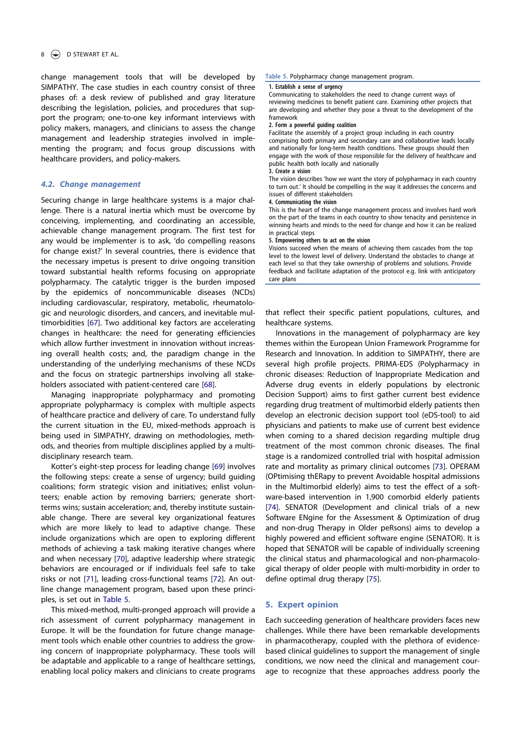### 8 **D** STEWART ET AL.

change management tools that will be developed by SIMPATHY. The case studies in each country consist of three phases of: a desk review of published and gray literature describing the legislation, policies, and procedures that support the program; one-to-one key informant interviews with policy makers, managers, and clinicians to assess the change management and leadership strategies involved in implementing the program; and focus group discussions with healthcare providers, and policy-makers.

#### 4.2. Change management

Securing change in large healthcare systems is a major challenge. There is a natural inertia which must be overcome by conceiving, implementing, and coordinating an accessible, achievable change management program. The first test for any would be implementer is to ask, 'do compelling reasons for change exist?' In several countries, there is evidence that the necessary impetus is present to drive ongoing transition toward substantial health reforms focusing on appropriate polypharmacy. The catalytic trigger is the burden imposed by the epidemics of noncommunicable diseases (NCDs) including cardiovascular, respiratory, metabolic, rheumatologic and neurologic disorders, and cancers, and inevitable multimorbidities [67]. Two additional key factors are accelerating changes in healthcare: the need for generating efficiencies which allow further investment in innovation without increasing overall health costs; and, the paradigm change in the understanding of the underlying mechanisms of these NCDs and the focus on strategic partnerships involving all stakeholders associated with patient-centered care [68].

Managing inappropriate polypharmacy and promoting appropriate polypharmacy is complex with multiple aspects of healthcare practice and delivery of care. To understand fully the current situation in the EU, mixed-methods approach is being used in SIMPATHY, drawing on methodologies, methods, and theories from multiple disciplines applied by a multidisciplinary research team.

Kotter's eight-step process for leading change [69] involves the following steps: create a sense of urgency; build guiding coalitions; form strategic vision and initiatives; enlist volunteers; enable action by removing barriers; generate shortterms wins; sustain acceleration; and, thereby institute sustainable change. There are several key organizational features which are more likely to lead to adaptive change. These include organizations which are open to exploring different methods of achieving a task making iterative changes where and when necessary [70], adaptive leadership where strategic behaviors are encouraged or if individuals feel safe to take risks or not [71], leading cross-functional teams [72]. An outline change management program, based upon these principles, is set out in Table 5.

This mixed-method, multi-pronged approach will provide a rich assessment of current polypharmacy management in Europe. It will be the foundation for future change management tools which enable other countries to address the growing concern of inappropriate polypharmacy. These tools will be adaptable and applicable to a range of healthcare settings, enabling local policy makers and clinicians to create programs

#### Table 5. Polypharmacy change management program.

#### 1. Establish a sense of urgency

Communicating to stakeholders the need to change current ways of reviewing medicines to benefit patient care. Examining other projects that are developing and whether they pose a threat to the development of the framework

#### 2. Form a powerful guiding coalition

Facilitate the assembly of a project group including in each country comprising both primary and secondary care and collaborative leads locally and nationally for long-term health conditions. These groups should then engage with the work of those responsible for the delivery of healthcare and public health both locally and nationally

#### 3. Create a vision

The vision describes 'how we want the story of polypharmacy in each country to turn out.' It should be compelling in the way it addresses the concerns and issues of different stakeholders

#### 4. Communicating the vision

This is the heart of the change management process and involves hard work on the part of the teams in each country to show tenacity and persistence in winning hearts and minds to the need for change and how it can be realized in practical steps

5. Empowering others to act on the vision

Visions succeed when the means of achieving them cascades from the top level to the lowest level of delivery. Understand the obstacles to change at each level so that they take ownership of problems and solutions. Provide feedback and facilitate adaptation of the protocol e.g. link with anticipatory care plans

that reflect their specific patient populations, cultures, and healthcare systems.

Innovations in the management of polypharmacy are key themes within the European Union Framework Programme for Research and Innovation. In addition to SIMPATHY, there are several high profile projects. PRIMA-EDS (Polypharmacy in chronic diseases: Reduction of Inappropriate Medication and Adverse drug events in elderly populations by electronic Decision Support) aims to first gather current best evidence regarding drug treatment of multimorbid elderly patients then develop an electronic decision support tool (eDS-tool) to aid physicians and patients to make use of current best evidence when coming to a shared decision regarding multiple drug treatment of the most common chronic diseases. The final stage is a randomized controlled trial with hospital admission rate and mortality as primary clinical outcomes [73]. OPERAM (OPtimising thERapy to prevent Avoidable hospital admissions in the Multimorbid elderly) aims to test the effect of a software-based intervention in 1,900 comorbid elderly patients [74]. SENATOR (Development and clinical trials of a new Software ENgine for the Assessment & Optimization of drug and non-drug Therapy in Older peRsons) aims to develop a highly powered and efficient software engine (SENATOR). It is hoped that SENATOR will be capable of individually screening the clinical status and pharmacological and non-pharmacological therapy of older people with multi-morbidity in order to define optimal drug therapy [75].

#### 5. Expert opinion

Each succeeding generation of healthcare providers faces new challenges. While there have been remarkable developments in pharmacotherapy, coupled with the plethora of evidencebased clinical guidelines to support the management of single conditions, we now need the clinical and management courage to recognize that these approaches address poorly the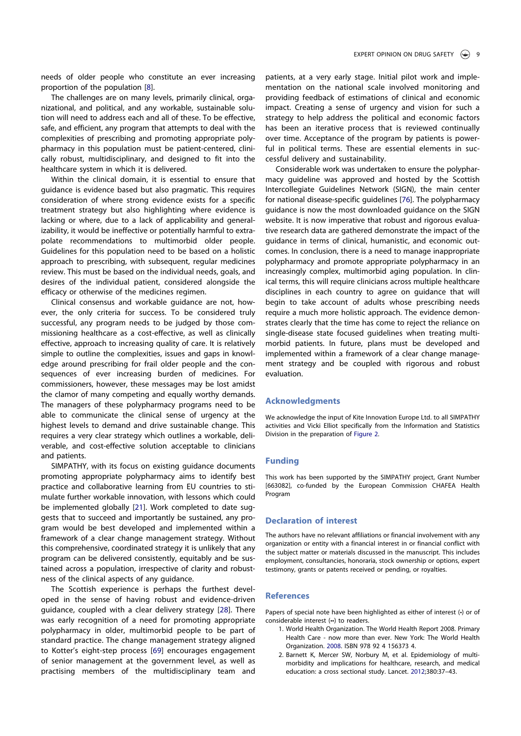needs of older people who constitute an ever increasing proportion of the population [8].

The challenges are on many levels, primarily clinical, organizational, and political, and any workable, sustainable solution will need to address each and all of these. To be effective, safe, and efficient, any program that attempts to deal with the complexities of prescribing and promoting appropriate polypharmacy in this population must be patient-centered, clinically robust, multidisciplinary, and designed to fit into the healthcare system in which it is delivered.

Within the clinical domain, it is essential to ensure that guidance is evidence based but also pragmatic. This requires consideration of where strong evidence exists for a specific treatment strategy but also highlighting where evidence is lacking or where, due to a lack of applicability and generalizability, it would be ineffective or potentially harmful to extrapolate recommendations to multimorbid older people. Guidelines for this population need to be based on a holistic approach to prescribing, with subsequent, regular medicines review. This must be based on the individual needs, goals, and desires of the individual patient, considered alongside the efficacy or otherwise of the medicines regimen.

Clinical consensus and workable guidance are not, however, the only criteria for success. To be considered truly successful, any program needs to be judged by those commissioning healthcare as a cost-effective, as well as clinically effective, approach to increasing quality of care. It is relatively simple to outline the complexities, issues and gaps in knowledge around prescribing for frail older people and the consequences of ever increasing burden of medicines. For commissioners, however, these messages may be lost amidst the clamor of many competing and equally worthy demands. The managers of these polypharmacy programs need to be able to communicate the clinical sense of urgency at the highest levels to demand and drive sustainable change. This requires a very clear strategy which outlines a workable, deliverable, and cost-effective solution acceptable to clinicians and patients.

SIMPATHY, with its focus on existing guidance documents promoting appropriate polypharmacy aims to identify best practice and collaborative learning from EU countries to stimulate further workable innovation, with lessons which could be implemented globally [21]. Work completed to date suggests that to succeed and importantly be sustained, any program would be best developed and implemented within a framework of a clear change management strategy. Without this comprehensive, coordinated strategy it is unlikely that any program can be delivered consistently, equitably and be sustained across a population, irrespective of clarity and robustness of the clinical aspects of any guidance.

The Scottish experience is perhaps the furthest developed in the sense of having robust and evidence-driven guidance, coupled with a clear delivery strategy [28]. There was early recognition of a need for promoting appropriate polypharmacy in older, multimorbid people to be part of standard practice. The change management strategy aligned to Kotter's eight-step process [69] encourages engagement of senior management at the government level, as well as practising members of the multidisciplinary team and

patients, at a very early stage. Initial pilot work and implementation on the national scale involved monitoring and providing feedback of estimations of clinical and economic impact. Creating a sense of urgency and vision for such a strategy to help address the political and economic factors has been an iterative process that is reviewed continually over time. Acceptance of the program by patients is powerful in political terms. These are essential elements in successful delivery and sustainability.

Considerable work was undertaken to ensure the polypharmacy guideline was approved and hosted by the Scottish Intercollegiate Guidelines Network (SIGN), the main center for national disease-specific guidelines [76]. The polypharmacy guidance is now the most downloaded guidance on the SIGN website. It is now imperative that robust and rigorous evaluative research data are gathered demonstrate the impact of the guidance in terms of clinical, humanistic, and economic outcomes. In conclusion, there is a need to manage inappropriate polypharmacy and promote appropriate polypharmacy in an increasingly complex, multimorbid aging population. In clinical terms, this will require clinicians across multiple healthcare disciplines in each country to agree on guidance that will begin to take account of adults whose prescribing needs require a much more holistic approach. The evidence demonstrates clearly that the time has come to reject the reliance on single-disease state focused guidelines when treating multimorbid patients. In future, plans must be developed and implemented within a framework of a clear change management strategy and be coupled with rigorous and robust evaluation.

#### Acknowledgments

We acknowledge the input of Kite Innovation Europe Ltd. to all SIMPATHY activities and Vicki Elliot specifically from the Information and Statistics Division in the preparation of Figure 2.

#### Funding

This work has been supported by the SIMPATHY project, Grant Number [663082], co-funded by the European Commission CHAFEA Health Program

# Declaration of interest

The authors have no relevant affiliations or financial involvement with any organization or entity with a financial interest in or financial conflict with the subject matter or materials discussed in the manuscript. This includes employment, consultancies, honoraria, stock ownership or options, expert testimony, grants or patents received or pending, or royalties.

#### **References**

Papers of special note have been highlighted as either of interest (•) or of considerable interest (••) to readers.

- 1. World Health Organization. The World Health Report 2008. Primary Health Care - now more than ever. New York: The World Health Organization. 2008. ISBN 978 92 4 156373 4.
- 2. Barnett K, Mercer SW, Norbury M, et al. Epidemiology of multimorbidity and implications for healthcare, research, and medical education: a cross sectional study. Lancet. 2012;380:37–43.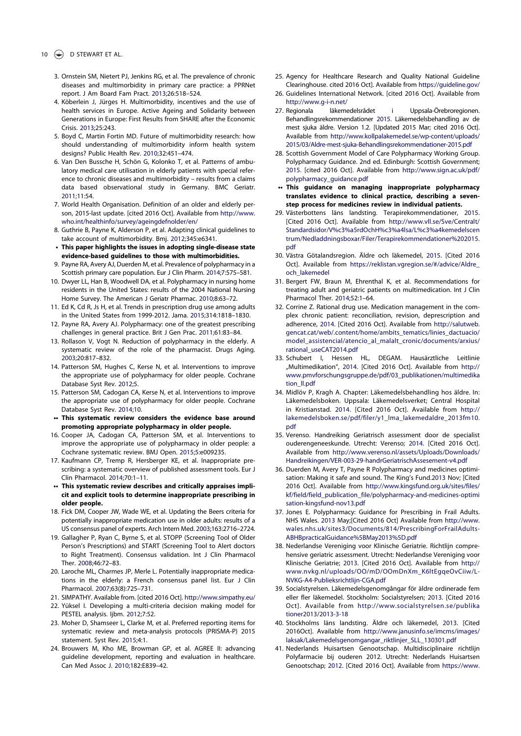- 3. Ornstein SM, Nietert PJ, Jenkins RG, et al. The prevalence of chronic diseases and multimorbidity in primary care practice: a PPRNet report. J Am Board Fam Pract. 2013;26:518–524.
- 4. Köberlein J, Jürges H. Multimorbidity, incentives and the use of health services in Europe. Active Ageing and Solidarity between Generations in Europe: First Results from SHARE after the Economic Crisis. 2013;25:243.
- 5. Boyd C, Martin Fortin MD. Future of multimorbidity research: how should understanding of multimorbidity inform health system designs? Public Health Rev. 2010;32:451–474.
- 6. Van Den Bussche H, Schön G, Kolonko T, et al. Patterns of ambulatory medical care utilisation in elderly patients with special reference to chronic diseases and multimorbidity – results from a claims data based observational study in Germany. BMC Geriatr. 2011;11:54.
- 7. World Health Organisation. Definition of an older and elderly person, 2015-last update. [cited 2016 Oct]. Available from http://www. who.int/healthinfo/survey/ageingdefnolder/en/
- 8. Guthrie B, Payne K, Alderson P, et al. Adapting clinical guidelines to take account of multimorbidity. Bmj. 2012;345:e6341.
- This paper highlights the issues in adopting single-disease state evidence-based guidelines to those with multimorbidities.
- 9. Payne RA, Avery AJ, Duerden M, et al. Prevalence of polypharmacy in a Scottish primary care population. Eur J Clin Pharm. 2014;7:575–581.
- 10. Dwyer LL, Han B, Woodwell DA, et al. Polypharmacy in nursing home residents in the United States: results of the 2004 National Nursing Home Survey. The American J Geriatr Pharmac. 2010;8:63–72.
- 11. Ed K, Cd R, Js H, et al. Trends in prescription drug use among adults in the United States from 1999-2012. Jama. 2015;314:1818–1830.
- 12. Payne RA, Avery AJ. Polypharmacy: one of the greatest prescribing challenges in general practice. Brit J Gen Prac. 2011;61:83–84.
- 13. Rollason V, Vogt N. Reduction of polypharmacy in the elderly. A systematic review of the role of the pharmacist. Drugs Aging. 2003;20:817–832.
- 14. Patterson SM, Hughes C, Kerse N, et al. Interventions to improve the appropriate use of polypharmacy for older people. Cochrane Database Syst Rev. 2012;5.
- 15. Patterson SM, Cadogan CA, Kerse N, et al. Interventions to improve the appropriate use of polypharmacy for older people. Cochrane Database Syst Rev. 2014;10.
- •• This systematic review considers the evidence base around promoting appropriate polypharmacy in older people.
- 16. Cooper JA, Cadogan CA, Patterson SM, et al. Interventions to improve the appropriate use of polypharmacy in older people: a Cochrane systematic review. BMJ Open. 2015;5:e009235.
- 17. Kaufmann CP, Tremp R, Hersberger KE, et al. Inappropriate prescribing: a systematic overview of published assessment tools. Eur J Clin Pharmacol. 2014;70:1–11.
- •• This systematic review describes and critically appraises implicit and explicit tools to determine inappropriate prescribing in older people.
- 18. Fick DM, Cooper JW, Wade WE, et al. Updating the Beers criteria for potentially inappropriate medication use in older adults: results of a US consensus panel of experts. Arch Intern Med. 2003;163:2716–2724.
- 19. Gallagher P, Ryan C, Byrne S, et al. STOPP (Screening Tool of Older Person's Prescriptions) and START (Screening Tool to Alert doctors to Right Treatment). Consensus validation. Int J Clin Pharmacol Ther. 2008;46:72–83.
- 20. Laroche ML, Charmes JP, Merle L. Potentially inappropriate medications in the elderly: a French consensus panel list. Eur J Clin Pharmacol. 2007;63(8):725–731.
- 21. SIMPATHY. Available from. [cited 2016 Oct]. http://www.simpathy.eu/
- 22. Yüksel I. Developing a multi-criteria decision making model for PESTEL analysis. Ijbm. 2012;7:52.
- 23. Moher D, Shamseer L, Clarke M, et al. Preferred reporting items for systematic review and meta-analysis protocols (PRISMA-P) 2015 statement. Syst Rev. 2015;4:1.
- 24. Brouwers M, Kho ME, Browman GP, et al. AGREE II: advancing guideline development, reporting and evaluation in healthcare. Can Med Assoc J. 2010;182:E839–42.
- 25. Agency for Healthcare Research and Quality National Guideline Clearinghouse. cited 2016 Oct]. Available from https://guideline.gov/
- 26. Guidelines International Network. [cited 2016 Oct]. Available from http://www.g-i-n.net/
- 27. Regionala läkemedelsrådet i Uppsala-Örebroregionen. Behandlingsrekommendationer 2015. Läkemedelsbehandling av de mest sjuka äldre. Version 1.2. [Updated 2015 Mar; cited 2016 Oct]. Available from http://www.kollpalakemedel.se/wp-content/uploads/ 2015/03/Aldre-mest-sjuka-Behandlingsrekommendationer-2015.pdf
- 28. Scottish Government Model of Care Polypharmacy Working Group. Polypharmacy Guidance. 2nd ed. Edinburgh: Scottish Government; 2015. [cited 2016 Oct]. Available from http://www.sign.ac.uk/pdf/ polypharmacy\_guidance.pdf
- •• This guidance on managing inappropriate polypharmacy translates evidence to clinical practice, describing a sevenstep process for medicines review in individual patients.
- 29. Västerbottens läns landsting. Terapirekommendationer, 2015. [Cited 2016 Oct]. Available from http://www.vll.se/Sve/Centralt/ Standardsidor/V%c3%a5rdOchH%c3%a4lsa/L%c3%a4kemedelscen trum/Nedladdningsboxar/Filer/Terapirekommendationer%202015. pdf
- 30. Västra Götalandsregion. Äldre och läkemedel, 2015. [Cited 2016 Oct]. Available from https://reklistan.vgregion.se/#/advice/Aldre\_ och\_lakemedel
- 31. Bergert FW, Braun M, Ehrenthal K, et al. Recommendations for treating adult and geriatric patients on multimedication. Int J Clin Pharmacol Ther. 2014;52:1–64.
- 32. Corrine Z. Rational drug use. Medication management in the complex chronic patient: reconciliation, revision, deprescription and adherence, 2014. [Cited 2016 Oct]. Available from http://salutweb. gencat.cat/web/.content/home/ambits\_tematics/linies\_dactuacio/ model assistencial/atencio al malalt cronic/documents/arxius/ rational\_useCAT2014.pdf
- 33. Schubert I, Hessen HL, DEGAM. Hausärztliche Leitlinie "Multimedikation", 2014. [Cited 2016 Oct]. Available from http:// www.pmvforschungsgruppe.de/pdf/03\_publikationen/multimedika tion\_ll.pdf
- 34. Midlöv P, Kragh A. Chapter: Läkemedelsbehandling hos äldre. In: Läkemedelsboken. Uppsala: Läkemedelsverket; Central Hospital in Kristianstad. 2014. [Cited 2016 Oct]. Available from http:// lakemedelsboken.se/pdf/filer/y1\_lma\_lakemedaldre\_2013fm10. pdf
- 35. Verenso. Handreiking Geriatrisch assessment door de specialist ouderengeneeskunde. Utrecht: Verenso; 2014. [Cited 2016 Oct]. Available from http://www.verenso.nl/assets/Uploads/Downloads/ Handreikingen/VER-003-29-handrGeriatrischAssesement-v4.pdf
- 36. Duerden M, Avery T, Payne R Polypharmacy and medicines optimisation: Making it safe and sound. The King's Fund.2013 Nov; [Cited 2016 Oct]. Available from http://www.kingsfund.org.uk/sites/files/ kf/field/field\_publication\_file/polypharmacy-and-medicines-optimi sation-kingsfund-nov13.pdf
- 37. Jones E. Polypharmacy: Guidance for Prescribing in Frail Adults. NHS Wales. 2013 May;[Cited 2016 Oct] Available from http://www. wales.nhs.uk/sites3/Documents/814/PrescribingForFrailAdults-ABHBpracticalGuidance%5BMay2013%5D.pdf
- 38. Nederlandse Vereniging voor Klinische Geriatrie. Richtlijn comprehensive geriatric assessment. Utrecht: Nederlandse Vereniging voor Klinische Geriatrie; 2013. [Cited 2016 Oct]. Available from http:// www.nvkg.nl/uploads/OO/mD/OOmDnXm\_K6ltEgqeOvCiiw/L-NVKG-A4-Publieksrichtlijn-CGA.pdf
- 39. Socialstyrelsen. Läkemedelsgenomgångar för äldre ordinerade fem eller fler läkemedel. Stockholm: Socialstyrelsen; 2013. [Cited 2016 Oct]. Available from http://www.socialstyrelsen.se/publika tioner2013/2013-3-18
- 40. Stockholms läns landsting. Äldre och läkemedel, 2013. [Cited 2016Oct]. Available from http://www.janusinfo.se/imcms/images/ laksak/Lakemedelsgenomgangar\_riktlinjer\_SLL\_130301.pdf
- 41. Nederlands Huisartsen Genootschap. Multidisciplinaire richtlijn Polyfarmacie bij ouderen 2012. Utrecht: Nederlands Huisartsen Genootschap; 2012. [Cited 2016 Oct]. Available from https://www.